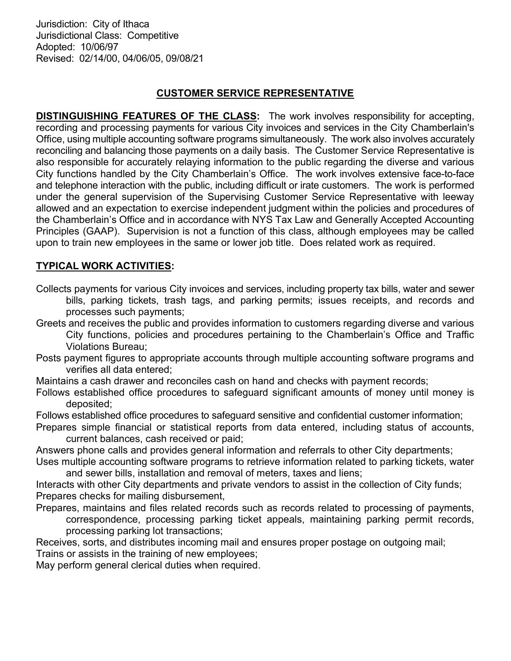Jurisdiction: City of Ithaca Jurisdictional Class: Competitive Adopted: 10/06/97 Revised: 02/14/00, 04/06/05, 09/08/21

## CUSTOMER SERVICE REPRESENTATIVE

DISTINGUISHING FEATURES OF THE CLASS: The work involves responsibility for accepting, recording and processing payments for various City invoices and services in the City Chamberlain's Office, using multiple accounting software programs simultaneously. The work also involves accurately reconciling and balancing those payments on a daily basis. The Customer Service Representative is also responsible for accurately relaying information to the public regarding the diverse and various City functions handled by the City Chamberlain's Office. The work involves extensive face-to-face and telephone interaction with the public, including difficult or irate customers. The work is performed under the general supervision of the Supervising Customer Service Representative with leeway allowed and an expectation to exercise independent judgment within the policies and procedures of the Chamberlain's Office and in accordance with NYS Tax Law and Generally Accepted Accounting Principles (GAAP). Supervision is not a function of this class, although employees may be called upon to train new employees in the same or lower job title. Does related work as required.

## TYPICAL WORK ACTIVITIES:

- Collects payments for various City invoices and services, including property tax bills, water and sewer bills, parking tickets, trash tags, and parking permits; issues receipts, and records and processes such payments;
- Greets and receives the public and provides information to customers regarding diverse and various City functions, policies and procedures pertaining to the Chamberlain's Office and Traffic Violations Bureau;
- Posts payment figures to appropriate accounts through multiple accounting software programs and verifies all data entered;
- Maintains a cash drawer and reconciles cash on hand and checks with payment records;
- Follows established office procedures to safeguard significant amounts of money until money is deposited;
- Follows established office procedures to safeguard sensitive and confidential customer information;
- Prepares simple financial or statistical reports from data entered, including status of accounts, current balances, cash received or paid;
- Answers phone calls and provides general information and referrals to other City departments;
- Uses multiple accounting software programs to retrieve information related to parking tickets, water and sewer bills, installation and removal of meters, taxes and liens;
- Interacts with other City departments and private vendors to assist in the collection of City funds; Prepares checks for mailing disbursement,
- Prepares, maintains and files related records such as records related to processing of payments, correspondence, processing parking ticket appeals, maintaining parking permit records, processing parking lot transactions;

Receives, sorts, and distributes incoming mail and ensures proper postage on outgoing mail; Trains or assists in the training of new employees;

May perform general clerical duties when required.